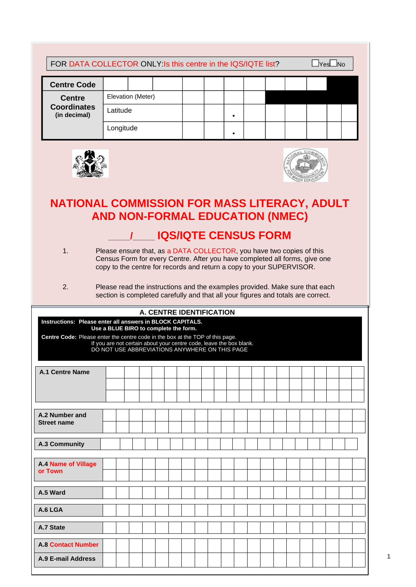| FOR DATA COLLECTOR ONLY Is this centre in the IQS/IQTE list?<br>lYes⊟No |           |                   |  |  |  |  |  |  |  |  |  |  |  |  |
|-------------------------------------------------------------------------|-----------|-------------------|--|--|--|--|--|--|--|--|--|--|--|--|
| <b>Centre Code</b>                                                      |           |                   |  |  |  |  |  |  |  |  |  |  |  |  |
| <b>Centre</b>                                                           |           | Elevation (Meter) |  |  |  |  |  |  |  |  |  |  |  |  |
| <b>Coordinates</b><br>(in decimal)                                      | Latitude  |                   |  |  |  |  |  |  |  |  |  |  |  |  |
|                                                                         | Longitude |                   |  |  |  |  |  |  |  |  |  |  |  |  |





# **NATIONAL COMMISSION FOR MASS LITERACY, ADULT AND NON-FORMAL EDUCATION (NMEC)**

# **\_\_\_\_/\_\_\_\_ IQS/IQTE CENSUS FORM**

1. Please ensure that, as a DATA COLLECTOR, you have two copies of this Census Form for every Centre. After you have completed all forms, give one copy to the centre for records and return a copy to your SUPERVISOR.

| A. CENTRE IDENTIFICATION                                  |                                                                                                                                                                                                        |  |  |  |  |  |  |  |  |  |  |  |  |  |  |  |  |  |
|-----------------------------------------------------------|--------------------------------------------------------------------------------------------------------------------------------------------------------------------------------------------------------|--|--|--|--|--|--|--|--|--|--|--|--|--|--|--|--|--|
| Instructions: Please enter all answers in BLOCK CAPITALS. | Use a BLUE BIRO to complete the form.                                                                                                                                                                  |  |  |  |  |  |  |  |  |  |  |  |  |  |  |  |  |  |
|                                                           | Centre Code: Please enter the centre code in the box at the TOP of this page.<br>If you are not certain about your centre code, leave the box blank.<br>DO NOT USE ABBREVIATIONS ANYWHERE ON THIS PAGE |  |  |  |  |  |  |  |  |  |  |  |  |  |  |  |  |  |
| A.1 Centre Name                                           |                                                                                                                                                                                                        |  |  |  |  |  |  |  |  |  |  |  |  |  |  |  |  |  |
| A.2 Number and<br><b>Street name</b>                      |                                                                                                                                                                                                        |  |  |  |  |  |  |  |  |  |  |  |  |  |  |  |  |  |
| A.3 Community                                             |                                                                                                                                                                                                        |  |  |  |  |  |  |  |  |  |  |  |  |  |  |  |  |  |
| <b>A.4 Name of Village</b><br>or Town                     |                                                                                                                                                                                                        |  |  |  |  |  |  |  |  |  |  |  |  |  |  |  |  |  |
| A.5 Ward                                                  |                                                                                                                                                                                                        |  |  |  |  |  |  |  |  |  |  |  |  |  |  |  |  |  |
| A.6 LGA                                                   |                                                                                                                                                                                                        |  |  |  |  |  |  |  |  |  |  |  |  |  |  |  |  |  |
| A.7 State                                                 |                                                                                                                                                                                                        |  |  |  |  |  |  |  |  |  |  |  |  |  |  |  |  |  |
| <b>A.8 Contact Number</b>                                 |                                                                                                                                                                                                        |  |  |  |  |  |  |  |  |  |  |  |  |  |  |  |  |  |
| A.9 E-mail Address                                        |                                                                                                                                                                                                        |  |  |  |  |  |  |  |  |  |  |  |  |  |  |  |  |  |

<sup>2.</sup> Please read the instructions and the examples provided. Make sure that each section is completed carefully and that all your figures and totals are correct.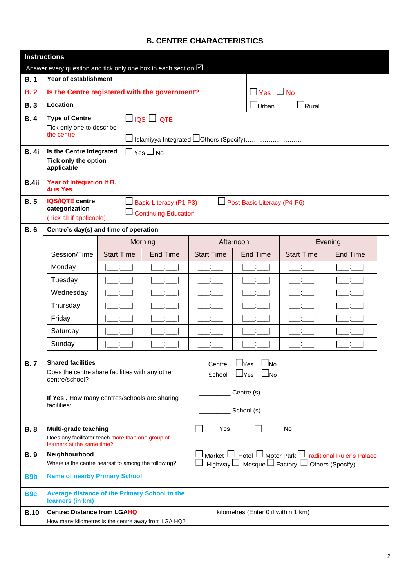# **B. CENTRE CHARACTERISTICS**

|                 | <b>Instructions</b>                                                                              |                   |                                                         |                   |                                     |                   |                                                                                                                                         |
|-----------------|--------------------------------------------------------------------------------------------------|-------------------|---------------------------------------------------------|-------------------|-------------------------------------|-------------------|-----------------------------------------------------------------------------------------------------------------------------------------|
| B.1             | Answer every question and tick only one box in each section $\boxtimes$<br>Year of establishment |                   |                                                         |                   |                                     |                   |                                                                                                                                         |
| B.2             | Is the Centre registered with the government?                                                    |                   |                                                         |                   | $\Box$ Yes $\Box$ No                |                   |                                                                                                                                         |
|                 | Location                                                                                         |                   |                                                         |                   |                                     |                   |                                                                                                                                         |
| <b>B.3</b>      |                                                                                                  |                   |                                                         |                   | $\Box$ Urban                        | $\Box$ Rural      |                                                                                                                                         |
| <b>B.4</b>      | <b>Type of Centre</b><br>Tick only one to describe                                               |                   | $\Box$ IQS $\Box$ IQTE                                  |                   |                                     |                   |                                                                                                                                         |
|                 | the centre                                                                                       |                   | Islamiyya Integrated LOthers (Specify)                  |                   |                                     |                   |                                                                                                                                         |
| <b>B.</b> 4i    | Is the Centre Integrated                                                                         |                   | $\Box$ Yes $\Box$ No                                    |                   |                                     |                   |                                                                                                                                         |
|                 | Tick only the option<br>applicable                                                               |                   |                                                         |                   |                                     |                   |                                                                                                                                         |
| B.4ii           | Year of Integration If B.<br><b>4i is Yes</b>                                                    |                   |                                                         |                   |                                     |                   |                                                                                                                                         |
| <b>B.5</b>      | <b>IQS/IQTE centre</b><br>categorization<br>(Tick all if applicable)                             |                   | $\Box$ Basic Literacy (P1-P3)<br>□ Continuing Education |                   | $\Box$ Post-Basic Literacy (P4-P6)  |                   |                                                                                                                                         |
| <b>B.6</b>      | Centre's day(s) and time of operation                                                            |                   |                                                         |                   |                                     |                   |                                                                                                                                         |
|                 |                                                                                                  |                   | Morning                                                 |                   | Afternoon                           |                   | Evening                                                                                                                                 |
|                 | Session/Time                                                                                     | <b>Start Time</b> | <b>End Time</b>                                         | <b>Start Time</b> | <b>End Time</b>                     | <b>Start Time</b> | <b>End Time</b>                                                                                                                         |
|                 | Monday                                                                                           |                   |                                                         |                   |                                     |                   |                                                                                                                                         |
|                 | Tuesday                                                                                          |                   |                                                         |                   |                                     |                   |                                                                                                                                         |
|                 | Wednesday                                                                                        |                   |                                                         |                   |                                     |                   |                                                                                                                                         |
|                 | Thursday                                                                                         |                   |                                                         |                   |                                     |                   |                                                                                                                                         |
|                 | Friday                                                                                           |                   |                                                         |                   |                                     |                   |                                                                                                                                         |
|                 | Saturday                                                                                         |                   |                                                         |                   |                                     |                   |                                                                                                                                         |
|                 | Sunday                                                                                           |                   |                                                         |                   |                                     |                   |                                                                                                                                         |
| <b>B.7</b>      | <b>Shared facilities</b>                                                                         |                   |                                                         | Centre            | $\Box$ Yes<br>$\square_{\sf No}$    |                   |                                                                                                                                         |
|                 | Does the centre share facilities with any other<br>centre/school?                                |                   |                                                         | School            | $\Box$ No<br>$\Box$ Yes             |                   |                                                                                                                                         |
|                 | If Yes. How many centres/schools are sharing                                                     |                   |                                                         |                   | Centre (s)                          |                   |                                                                                                                                         |
|                 | facilities:                                                                                      |                   |                                                         |                   | School (s)                          |                   |                                                                                                                                         |
| <b>B.8</b>      | Multi-grade teaching<br>Does any facilitator teach more than one group of                        |                   |                                                         | Yes               |                                     | No.               |                                                                                                                                         |
|                 | learners at the same time?                                                                       |                   |                                                         |                   |                                     |                   |                                                                                                                                         |
| <b>B.9</b>      | Neighbourhood<br>Where is the centre nearest to among the following?                             |                   |                                                         |                   |                                     |                   | Market $\Box$ Hotel $\Box$ Motor Park $\Box$ Traditional Ruler's Palace<br>Highway $\Box$ Mosque $\Box$ Factory $\Box$ Others (Specify) |
| <b>B9b</b>      | <b>Name of nearby Primary School</b>                                                             |                   |                                                         |                   |                                     |                   |                                                                                                                                         |
| B <sub>9c</sub> | Average distance of the Primary School to the<br>learners (in km)                                |                   |                                                         |                   |                                     |                   |                                                                                                                                         |
| <b>B.10</b>     | <b>Centre: Distance from LGAHQ</b><br>How many kilometres is the centre away from LGA HQ?        |                   |                                                         |                   | kilometres (Enter 0 if within 1 km) |                   |                                                                                                                                         |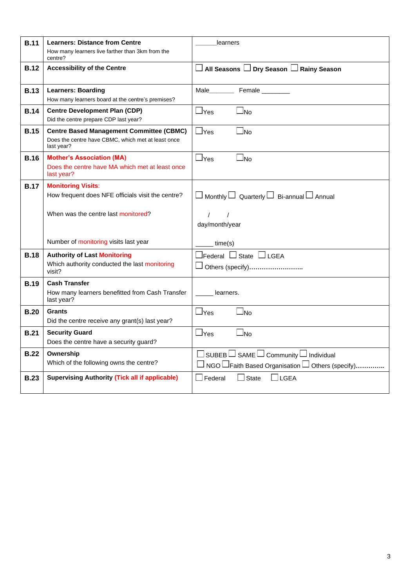| <b>B.11</b> | <b>Learners: Distance from Centre</b><br>How many learners live farther than 3km from the<br>centre?                  | learners                                                                                                                          |
|-------------|-----------------------------------------------------------------------------------------------------------------------|-----------------------------------------------------------------------------------------------------------------------------------|
| <b>B.12</b> | <b>Accessibility of the Centre</b>                                                                                    | $\square$ All Seasons $\square$ Dry Season $\square$ Rainy Season                                                                 |
| <b>B.13</b> | <b>Learners: Boarding</b><br>How many learners board at the centre's premises?                                        | Male Female                                                                                                                       |
| <b>B.14</b> | <b>Centre Development Plan (CDP)</b><br>Did the centre prepare CDP last year?                                         | $\Box$ Yes<br>$\square$ No                                                                                                        |
| <b>B.15</b> | <b>Centre Based Management Committee (CBMC)</b><br>Does the centre have CBMC, which met at least once<br>last year?   | $\Box$ Yes<br>$\square$ No                                                                                                        |
| <b>B.16</b> | <b>Mother's Association (MA)</b><br>Does the centre have MA which met at least once<br>last year?                     | $\Box$ Yes<br>$\Box$ No                                                                                                           |
| <b>B.17</b> | <b>Monitoring Visits:</b><br>How frequent does NFE officials visit the centre?<br>When was the centre last monitored? | $\Box$ Monthly $\Box$ Quarterly $\Box$ Bi-annual $\Box$ Annual<br>$\sqrt{2}$<br>$\prime$<br>day/month/year                        |
|             | Number of monitoring visits last year                                                                                 | time(s)                                                                                                                           |
| <b>B.18</b> | <b>Authority of Last Monitoring</b><br>Which authority conducted the last monitoring<br>visit?                        | $\sqsupset$ Federal $\Box$ State $\;\Box$ LGEA<br>$\Box$ Others (specify)                                                         |
| <b>B.19</b> | <b>Cash Transfer</b><br>How many learners benefitted from Cash Transfer<br>last year?                                 | learners.                                                                                                                         |
| B.20        | <b>Grants</b><br>Did the centre receive any grant(s) last year?                                                       | $\Box$ Yes<br>$\Box$ No                                                                                                           |
| <b>B.21</b> | <b>Security Guard</b><br>Does the centre have a security guard?                                                       | $\Box$ Yes<br>$\square_{\text{No}}$                                                                                               |
| <b>B.22</b> | Ownership<br>Which of the following owns the centre?                                                                  | $\Box$ SUBEB $\Box$ SAME $\Box$ Community $\Box$ Individual<br>$\Box$ NGO $\Box$ Faith Based Organisation $\Box$ Others (specify) |
| <b>B.23</b> | <b>Supervising Authority (Tick all if applicable)</b>                                                                 | $\square$ Federal<br>$\Box$ lgea<br>$\Box$ State                                                                                  |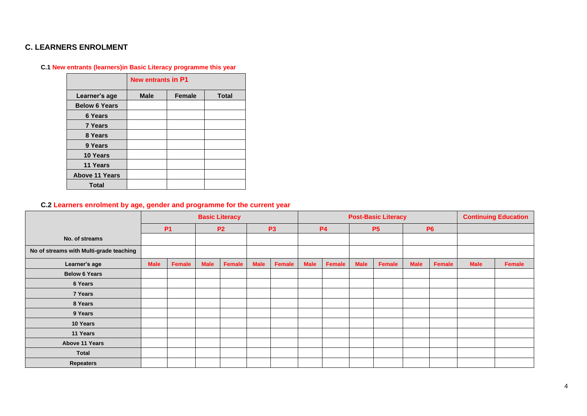# **C. LEARNERS ENROLMENT**

### **C.1 New entrants (learners)in Basic Literacy programme this year**

|                       | <b>New entrants in P1</b> |               |              |
|-----------------------|---------------------------|---------------|--------------|
| Learner's age         | <b>Male</b>               | <b>Female</b> | <b>Total</b> |
| <b>Below 6 Years</b>  |                           |               |              |
| 6 Years               |                           |               |              |
| <b>7 Years</b>        |                           |               |              |
| 8 Years               |                           |               |              |
| 9 Years               |                           |               |              |
| 10 Years              |                           |               |              |
| 11 Years              |                           |               |              |
| <b>Above 11 Years</b> |                           |               |              |
| <b>Total</b>          |                           |               |              |

# **C.2 Learners enrolment by age, gender and programme for the current year**

|                                         |             |        |  | <b>Basic Literacy</b> |             |                |             |               |             | <b>Post-Basic Literacy</b> |             |               |             | <b>Continuing Education</b> |
|-----------------------------------------|-------------|--------|--|-----------------------|-------------|----------------|-------------|---------------|-------------|----------------------------|-------------|---------------|-------------|-----------------------------|
|                                         | <b>P1</b>   |        |  | <b>P2</b>             |             | P <sub>3</sub> |             | <b>P4</b>     |             | <b>P5</b>                  |             | <b>P6</b>     |             |                             |
| No. of streams                          |             |        |  |                       |             |                |             |               |             |                            |             |               |             |                             |
| No of streams with Multi-grade teaching |             |        |  |                       |             |                |             |               |             |                            |             |               |             |                             |
| Learner's age                           | <b>Male</b> | Female |  | <b>Female</b>         | <b>Male</b> | Female         | <b>Male</b> | <b>Female</b> | <b>Male</b> | Female                     | <b>Male</b> | <b>Female</b> | <b>Male</b> | Female                      |
| <b>Below 6 Years</b>                    |             |        |  |                       |             |                |             |               |             |                            |             |               |             |                             |
| 6 Years                                 |             |        |  |                       |             |                |             |               |             |                            |             |               |             |                             |
| 7 Years                                 |             |        |  |                       |             |                |             |               |             |                            |             |               |             |                             |
| 8 Years                                 |             |        |  |                       |             |                |             |               |             |                            |             |               |             |                             |
| 9 Years                                 |             |        |  |                       |             |                |             |               |             |                            |             |               |             |                             |
| 10 Years                                |             |        |  |                       |             |                |             |               |             |                            |             |               |             |                             |
| 11 Years                                |             |        |  |                       |             |                |             |               |             |                            |             |               |             |                             |
| Above 11 Years                          |             |        |  |                       |             |                |             |               |             |                            |             |               |             |                             |
| Total                                   |             |        |  |                       |             |                |             |               |             |                            |             |               |             |                             |
| <b>Repeaters</b>                        |             |        |  |                       |             |                |             |               |             |                            |             |               |             |                             |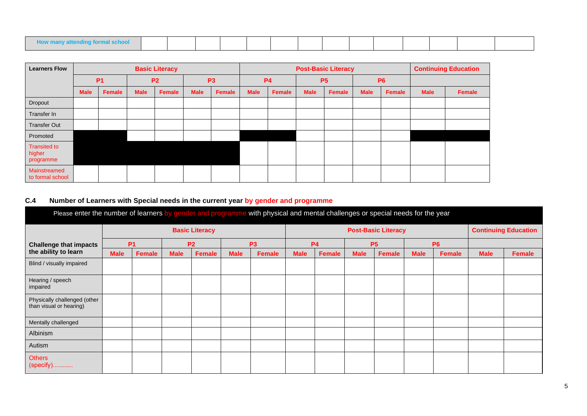| How many attending formal school |  |  |  |  |  |  |  |
|----------------------------------|--|--|--|--|--|--|--|
|                                  |  |  |  |  |  |  |  |
|                                  |  |  |  |  |  |  |  |
|                                  |  |  |  |  |  |  |  |

| <b>Learners Flow</b>                       |             |           |             | <b>Basic Literacy</b> |             |                |             |           |             | <b>Post-Basic Literacy</b> |             |           |             | <b>Continuing Education</b> |
|--------------------------------------------|-------------|-----------|-------------|-----------------------|-------------|----------------|-------------|-----------|-------------|----------------------------|-------------|-----------|-------------|-----------------------------|
|                                            |             | <b>P1</b> |             | <b>P2</b>             |             | P <sub>3</sub> |             | <b>P4</b> |             | <b>P5</b>                  |             | <b>P6</b> |             |                             |
|                                            | <b>Male</b> | Female    | <b>Male</b> | Female                | <b>Male</b> | Female         | <b>Male</b> | Female    | <b>Male</b> | Female                     | <b>Male</b> | Female    | <b>Male</b> | Female                      |
| Dropout                                    |             |           |             |                       |             |                |             |           |             |                            |             |           |             |                             |
| Transfer In                                |             |           |             |                       |             |                |             |           |             |                            |             |           |             |                             |
| <b>Transfer Out</b>                        |             |           |             |                       |             |                |             |           |             |                            |             |           |             |                             |
| Promoted                                   |             |           |             |                       |             |                |             |           |             |                            |             |           |             |                             |
| <b>Transited to</b><br>higher<br>programme |             |           |             |                       |             |                |             |           |             |                            |             |           |             |                             |
| Mainstreamed<br>to formal school           |             |           |             |                       |             |                |             |           |             |                            |             |           |             |                             |

# **C.4 Number of Learners with Special needs in the current year by gender and programme**

| Please enter the number of learners by gender and programme with physical and mental challenges or special needs for the year |             |        |             |                       |             |                |             |        |             |                            |             |                |             |                             |
|-------------------------------------------------------------------------------------------------------------------------------|-------------|--------|-------------|-----------------------|-------------|----------------|-------------|--------|-------------|----------------------------|-------------|----------------|-------------|-----------------------------|
|                                                                                                                               |             |        |             | <b>Basic Literacy</b> |             |                |             |        |             | <b>Post-Basic Literacy</b> |             |                |             | <b>Continuing Education</b> |
| <b>Challenge that impacts</b>                                                                                                 | <b>P1</b>   |        |             | <b>P2</b>             |             | P <sub>3</sub> | <b>P4</b>   |        |             | <b>P5</b>                  |             | P <sub>6</sub> |             |                             |
| the ability to learn                                                                                                          | <b>Male</b> | Female | <b>Male</b> | Female                | <b>Male</b> | <b>Female</b>  | <b>Male</b> | Female | <b>Male</b> | Female                     | <b>Male</b> | Female         | <b>Male</b> | <b>Female</b>               |
| Blind / visually impaired                                                                                                     |             |        |             |                       |             |                |             |        |             |                            |             |                |             |                             |
| Hearing / speech<br>impaired                                                                                                  |             |        |             |                       |             |                |             |        |             |                            |             |                |             |                             |
| Physically challenged (other<br>than visual or hearing)                                                                       |             |        |             |                       |             |                |             |        |             |                            |             |                |             |                             |
| Mentally challenged                                                                                                           |             |        |             |                       |             |                |             |        |             |                            |             |                |             |                             |
| Albinism                                                                                                                      |             |        |             |                       |             |                |             |        |             |                            |             |                |             |                             |
| Autism                                                                                                                        |             |        |             |                       |             |                |             |        |             |                            |             |                |             |                             |
| <b>Others</b><br>$(specify)$                                                                                                  |             |        |             |                       |             |                |             |        |             |                            |             |                |             |                             |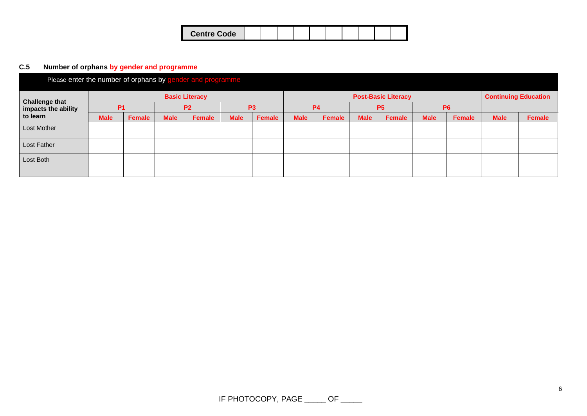|  | <b>Centre Code</b> |  |  |  |  |  |  |  |  |  |  |
|--|--------------------|--|--|--|--|--|--|--|--|--|--|
|--|--------------------|--|--|--|--|--|--|--|--|--|--|

# **C.5 Number of orphans by gender and programme**

|                       | Please enter the number of orphans by gender and programme |               |             |                       |             |                |             |        |             |                            |             |                |                             |               |
|-----------------------|------------------------------------------------------------|---------------|-------------|-----------------------|-------------|----------------|-------------|--------|-------------|----------------------------|-------------|----------------|-----------------------------|---------------|
| <b>Challenge that</b> |                                                            |               |             | <b>Basic Literacy</b> |             |                |             |        |             | <b>Post-Basic Literacy</b> |             |                | <b>Continuing Education</b> |               |
| impacts the ability   | P1                                                         |               |             | P <sub>2</sub>        |             | P <sub>3</sub> | <b>P4</b>   |        |             | P <sub>5</sub>             |             | P <sub>6</sub> |                             |               |
| to learn              | <b>Male</b>                                                | <b>Female</b> | <b>Male</b> | Female                | <b>Male</b> | Female         | <b>Male</b> | Female | <b>Male</b> | <b>Female</b>              | <b>Male</b> | Female         | <b>Male</b>                 | <b>Female</b> |
| Lost Mother           |                                                            |               |             |                       |             |                |             |        |             |                            |             |                |                             |               |
| Lost Father           |                                                            |               |             |                       |             |                |             |        |             |                            |             |                |                             |               |
| Lost Both             |                                                            |               |             |                       |             |                |             |        |             |                            |             |                |                             |               |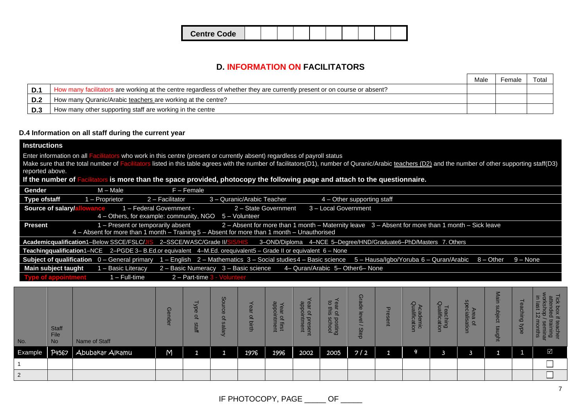| <b>Centre Code</b> |  |  |  |  |  |
|--------------------|--|--|--|--|--|
|                    |  |  |  |  |  |
|                    |  |  |  |  |  |

# **D. INFORMATION ON FACILITATORS**

|     |                                                                                                                          | Male | Femaic | Гоtа |
|-----|--------------------------------------------------------------------------------------------------------------------------|------|--------|------|
|     | How many facilitators are working at the centre regardless of whether they are currently present or on course or absent? |      |        |      |
| D.2 | How many Quranic/Arabic teachers are working at the centre?                                                              |      |        |      |
| D.3 | How many other supporting staff are working in the centre                                                                |      |        |      |

#### **D.4 Information on all staff during the current year**

### **Instructions**

Enter information on all Facilitators who work in this centre (present or currently absent) regardless of payroll status

Make sure that the total number of Facilitators listed in this table agrees with the number of facilitators(D1), number of Quranic/Arabic teachers (D2) and the number of other supporting staff(D3) reported above.

### **If the number of** Facilitators **is more than the space provided, photocopy the following page and attach to the questionnaire.**

| Gender                     | M – Male           | F - Female                                                |                                                                                                                   |                                                                                                                                                                |          |
|----------------------------|--------------------|-----------------------------------------------------------|-------------------------------------------------------------------------------------------------------------------|----------------------------------------------------------------------------------------------------------------------------------------------------------------|----------|
| <b>Type ofstaff</b>        | 1 – Proprietor     | 2 – Facilitator                                           | 3 - Quranic/Arabic Teacher                                                                                        | 4 – Other supporting staff                                                                                                                                     |          |
| Source of salary/allowance |                    | 1 - Federal Government -                                  | 2 – State Government                                                                                              | 3 - Local Government                                                                                                                                           |          |
|                            |                    | $4$ – Others, for example: community, NGO $5$ – Volunteer |                                                                                                                   |                                                                                                                                                                |          |
| <b>Present</b>             |                    | 1 – Present or temporarily absent                         |                                                                                                                   | $2 -$ Absent for more than 1 month – Maternity leave $3 -$ Absent for more than 1 month – Sick leave                                                           |          |
|                            |                    |                                                           | $4 -$ Absent for more than 1 month $-$ Training 5 $-$ Absent for more than 1 month $-$ Unauthorised               |                                                                                                                                                                |          |
|                            |                    |                                                           |                                                                                                                   | Academicqualification1-Below SSCE/FSLC/JIS 2-SSCE/WASC/Grade II/SIS/HIS 3-OND/Diploma 4-NCE 5-Degree/HND/Graduate6-PhD/Masters 7. Others                       |          |
|                            |                    |                                                           | Teachingqualification1-NCE 2-PGDE 3- B.Ed.or equivalent 4-M.Ed. or equivalent 5 - Grade II or equivalent 6 - None |                                                                                                                                                                |          |
|                            |                    |                                                           |                                                                                                                   | Subject of qualification 0 – General primary 1 – English 2 – Mathematics 3 – Social studies 4 – Basic science 5 – Hausa/Igbo/Yoruba 6 – Quran/Arabic 8 – Other | 9 – None |
| Main subject taught        | 1 - Basic Literacy |                                                           | 2 - Basic Numeracy 3 - Basic science 4 - Quran/Arabic 5 - Other6 - None                                           |                                                                                                                                                                |          |
| <b>Type of appointment</b> | $1 - Full-time$    |                                                           | 2 - Part-time 3 - Volunteer                                                                                       |                                                                                                                                                                |          |

| No.            | <b>Staff</b><br>File<br><b>No</b> | Name of Staff   | $\Omega$<br>$\mathbf{r}$<br>ge | ਨ<br>Φ<br>$\overline{\mathbf{c}}$<br>staff | So<br>≒<br>$\sigma$<br>$\Omega$<br>$\omega$<br><b>Alary</b> | $\mathbf{Q}$<br>$\mathbf{g}$<br>≑ | dde<br>ear<br>ointment<br>$\Omega$<br>first | ear<br>app<br>Q. Q<br>ಕ ರ<br>ser<br>Fa | $\vec{c}$<br>. 있<br>5<br>。 이<br>$\sigma$<br>ichool<br>ō<br>puns | $\vec{\mathbb{C}}$<br>$\omega$<br>$\sigma$<br>ൈ<br>$\mathbf{D}$<br>Step | Present             | Academic<br>Qualification | <b>Teaching</b><br>Qualification | Đ<br>Area<br>Gialis<br>a of<br>isati | lain<br>$\overline{S}$<br>ipje<br>$\tilde{\Omega}$<br>5<br>$rac{1}{2}$ | eaching<br>bpe | Lick<br>$\overline{a}$<br>$\Box$<br>ਨ<br>×<br>$\sigma$<br>teacher<br>Itaining<br>months |
|----------------|-----------------------------------|-----------------|--------------------------------|--------------------------------------------|-------------------------------------------------------------|-----------------------------------|---------------------------------------------|----------------------------------------|-----------------------------------------------------------------|-------------------------------------------------------------------------|---------------------|---------------------------|----------------------------------|--------------------------------------|------------------------------------------------------------------------|----------------|-----------------------------------------------------------------------------------------|
| Example        | P4567                             | Abubakar Alkamu | M                              |                                            | ч                                                           | 1976                              | 1996                                        | 2002                                   | 2005                                                            | $7/2$                                                                   | $\mathcal{L}$<br>J. | $\frac{4}{7}$             |                                  |                                      |                                                                        |                | $\triangledown$                                                                         |
|                |                                   |                 |                                |                                            |                                                             |                                   |                                             |                                        |                                                                 |                                                                         |                     |                           |                                  |                                      |                                                                        |                | ┍<br>_                                                                                  |
| $\overline{2}$ |                                   |                 |                                |                                            |                                                             |                                   |                                             |                                        |                                                                 |                                                                         |                     |                           |                                  |                                      |                                                                        |                | 冖                                                                                       |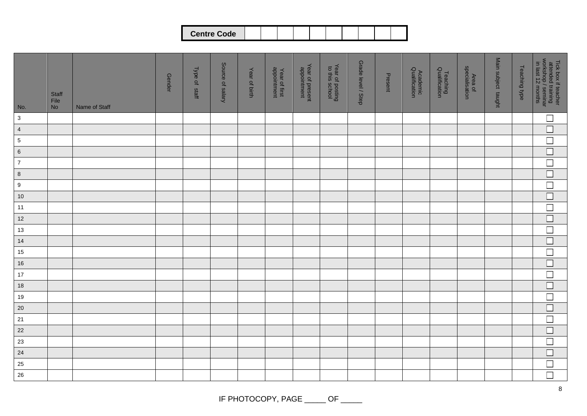| Centre Code |  |  |  |  |  |  |  |  |  |
|-------------|--|--|--|--|--|--|--|--|--|
|-------------|--|--|--|--|--|--|--|--|--|

| No.            | Staff<br>File<br>No | Name of Staff | <b>Gender</b> | Type of<br>staff | Source of salary | Year of birth | Year of first<br>appointment | Year of present<br>appointment | Year of posting<br>to this school | Grade level / Step | Present | Academic<br>Qualification | Teaching<br>Qualification | Area of<br>specialisation | Main subject taught | Teaching type | Tick box if teacher<br>attended training<br>workshop / seminar<br>in last 12 months |
|----------------|---------------------|---------------|---------------|------------------|------------------|---------------|------------------------------|--------------------------------|-----------------------------------|--------------------|---------|---------------------------|---------------------------|---------------------------|---------------------|---------------|-------------------------------------------------------------------------------------|
| $\mathbf{3}$   |                     |               |               |                  |                  |               |                              |                                |                                   |                    |         |                           |                           |                           |                     |               | $\Box$                                                                              |
| $\overline{4}$ |                     |               |               |                  |                  |               |                              |                                |                                   |                    |         |                           |                           |                           |                     |               | $\overline{\square}$                                                                |
| $\sqrt{5}$     |                     |               |               |                  |                  |               |                              |                                |                                   |                    |         |                           |                           |                           |                     |               | $\overline{\Box}$                                                                   |
| $\,6\,$        |                     |               |               |                  |                  |               |                              |                                |                                   |                    |         |                           |                           |                           |                     |               | $\overline{\Box}$                                                                   |
| $\overline{7}$ |                     |               |               |                  |                  |               |                              |                                |                                   |                    |         |                           |                           |                           |                     |               | $\overline{\square}$                                                                |
| $\bf 8$        |                     |               |               |                  |                  |               |                              |                                |                                   |                    |         |                           |                           |                           |                     |               | $\overline{\square}$                                                                |
| $9\,$          |                     |               |               |                  |                  |               |                              |                                |                                   |                    |         |                           |                           |                           |                     |               | $\overline{\Box}$                                                                   |
| $10$           |                     |               |               |                  |                  |               |                              |                                |                                   |                    |         |                           |                           |                           |                     |               | $\overline{\Box}$                                                                   |
| 11             |                     |               |               |                  |                  |               |                              |                                |                                   |                    |         |                           |                           |                           |                     |               | $\overline{\Box}$                                                                   |
| $12$           |                     |               |               |                  |                  |               |                              |                                |                                   |                    |         |                           |                           |                           |                     |               | $\overline{\square}$                                                                |
| 13             |                     |               |               |                  |                  |               |                              |                                |                                   |                    |         |                           |                           |                           |                     |               | $\Box$                                                                              |
| 14             |                     |               |               |                  |                  |               |                              |                                |                                   |                    |         |                           |                           |                           |                     |               | $\overline{\square}$                                                                |
| 15             |                     |               |               |                  |                  |               |                              |                                |                                   |                    |         |                           |                           |                           |                     |               | $\overline{\Box}$                                                                   |
| $16$           |                     |               |               |                  |                  |               |                              |                                |                                   |                    |         |                           |                           |                           |                     |               | $\Box$                                                                              |
| 17             |                     |               |               |                  |                  |               |                              |                                |                                   |                    |         |                           |                           |                           |                     |               | $\Box$                                                                              |
| 18             |                     |               |               |                  |                  |               |                              |                                |                                   |                    |         |                           |                           |                           |                     |               | $\overline{\square}$                                                                |
| 19             |                     |               |               |                  |                  |               |                              |                                |                                   |                    |         |                           |                           |                           |                     |               | $\overline{\Box}$                                                                   |
| 20             |                     |               |               |                  |                  |               |                              |                                |                                   |                    |         |                           |                           |                           |                     |               | $\overline{\square}$                                                                |
| 21             |                     |               |               |                  |                  |               |                              |                                |                                   |                    |         |                           |                           |                           |                     |               | $\Box$                                                                              |
| 22             |                     |               |               |                  |                  |               |                              |                                |                                   |                    |         |                           |                           |                           |                     |               | $\overline{\Box}$                                                                   |
| 23             |                     |               |               |                  |                  |               |                              |                                |                                   |                    |         |                           |                           |                           |                     |               | $\Box$                                                                              |
| 24             |                     |               |               |                  |                  |               |                              |                                |                                   |                    |         |                           |                           |                           |                     |               | $\overline{\Box}$                                                                   |
| 25             |                     |               |               |                  |                  |               |                              |                                |                                   |                    |         |                           |                           |                           |                     |               | $\Box$                                                                              |
| 26             |                     |               |               |                  |                  |               |                              |                                |                                   |                    |         |                           |                           |                           |                     |               | $\overline{\Box}$                                                                   |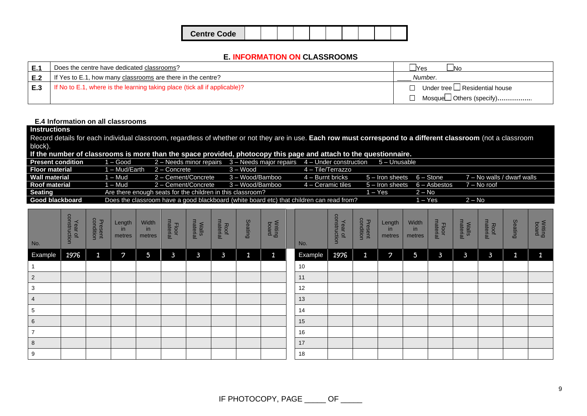| <b>Centre Code</b> |  |  |  |  |  |
|--------------------|--|--|--|--|--|

#### **E. INFORMATION ON CLASSROOMS**

| E.1 | Does the centre have dedicated classrooms?                                 | -INc<br>_lYes                       |
|-----|----------------------------------------------------------------------------|-------------------------------------|
| E.2 | If Yes to E.1, how many classrooms are there in the centre?                | Number.                             |
| E.3 | If No to E.1, where is the learning taking place (tick all if applicable)? | Under tree $\Box$ Residential house |
|     |                                                                            | Mosque∟ Others (specify)            |

#### **E.4 Information on all classrooms**

# **Instructions**

Record details for each individual classroom, regardless of whether or not they are in use. **Each row must correspond to a different classroom** (not a classroom block).

### **If the number of classrooms is more than the space provided, photocopy this page and attach to the questionnaire.**

| Present condition    | – Good        |                                                            | $2 -$ Needs minor repairs $3 -$ Needs major repairs $4 -$ Under construction             |                   | 5 – Unusable                     |          |                                             |
|----------------------|---------------|------------------------------------------------------------|------------------------------------------------------------------------------------------|-------------------|----------------------------------|----------|---------------------------------------------|
| Floor material       | I – Mud/Earth | 2 – Concrete                                               | 3 – Wood                                                                                 | 4 – Tile/Terrazzo |                                  |          |                                             |
| <b>Wall material</b> | $I - Mud$     | 2 - Cement/Concrete                                        | 3 – Wood/Bamboo                                                                          | 4 – Burnt bricks  | $5 -$ Iron sheets $6 -$ Stone    |          | $7 -$ No walls / dwarf walls $\overline{1}$ |
| <b>Roof material</b> | $I - Mud$     | 2 – Cement/Concrete                                        | 3 – Wood/Bamboo                                                                          | 4 – Ceramic tiles | $5 -$ Iron sheets $6 -$ Asbestos |          | ⁄ – No roof ∎                               |
| Seating              |               | Are there enough seats for the children in this classroom? |                                                                                          |                   | l – Yes                          | $2 - No$ |                                             |
| Good blackboard      |               |                                                            | Does the classroom have a good blackboard (white board etc) that children can read from? |                   |                                  | 1 – Yes  | $2 - No$                                    |

| No.            | Year of<br>construction | Present<br>condition | Length<br>in<br>metres | Width<br>in<br>metres | Floor<br>material | <b>Walls</b><br>material | Roof<br>material | Seating     | <b>Writing</b> | No.     | Year of<br>construction | <b>Present</b><br>condition | Length<br>in<br>metres | Width<br>in<br>metres | Floor<br>material | <b>Walls</b><br>material | Roof<br>material | Seating      | <b>Writing</b> |
|----------------|-------------------------|----------------------|------------------------|-----------------------|-------------------|--------------------------|------------------|-------------|----------------|---------|-------------------------|-----------------------------|------------------------|-----------------------|-------------------|--------------------------|------------------|--------------|----------------|
| Example        | 1976                    | $\mathbf{1}$         | $\mathcal{L}$          | $5\phantom{.0}$       | $\mathbf{3}$      | $\mathbf{3}$             | $\mathbf{3}$     | $\mathbf 1$ | $\mathbf{1}$   | Example | 1976                    | $\mathbf{1}$                | 7                      | $5\phantom{.0}$       | $\mathbf{3}$      | $\overline{3}$           | $\mathbf{3}$     | $\mathbf{1}$ | $\mathbf{1}$   |
|                |                         |                      |                        |                       |                   |                          |                  |             |                | 10      |                         |                             |                        |                       |                   |                          |                  |              |                |
| $\overline{2}$ |                         |                      |                        |                       |                   |                          |                  |             |                | 11      |                         |                             |                        |                       |                   |                          |                  |              |                |
| 3              |                         |                      |                        |                       |                   |                          |                  |             |                | 12      |                         |                             |                        |                       |                   |                          |                  |              |                |
| $\overline{4}$ |                         |                      |                        |                       |                   |                          |                  |             |                | 13      |                         |                             |                        |                       |                   |                          |                  |              |                |
| $\sqrt{5}$     |                         |                      |                        |                       |                   |                          |                  |             |                | 14      |                         |                             |                        |                       |                   |                          |                  |              |                |
| $\,6\,$        |                         |                      |                        |                       |                   |                          |                  |             |                | 15      |                         |                             |                        |                       |                   |                          |                  |              |                |
| $\overline{7}$ |                         |                      |                        |                       |                   |                          |                  |             |                | 16      |                         |                             |                        |                       |                   |                          |                  |              |                |
| 8              |                         |                      |                        |                       |                   |                          |                  |             |                | 17      |                         |                             |                        |                       |                   |                          |                  |              |                |
| 9              |                         |                      |                        |                       |                   |                          |                  |             |                | 18      |                         |                             |                        |                       |                   |                          |                  |              |                |

IF PHOTOCOPY, PAGE \_\_\_\_\_ OF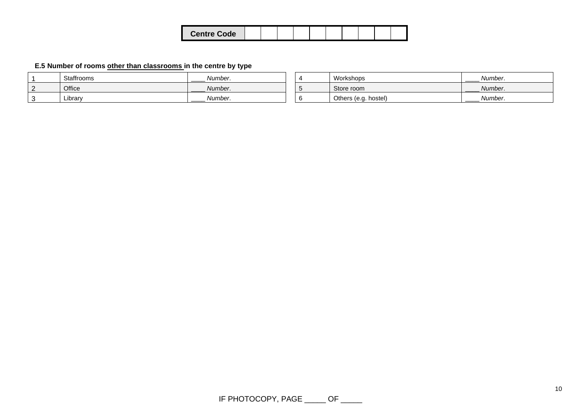| <b>Centre Code</b> |
|--------------------|
|--------------------|

# **E.5 Number of rooms other than classrooms in the centre by type**

| Staffrooms | Number. |  | Workshops            | Number.<br>______ |
|------------|---------|--|----------------------|-------------------|
| Office     | Number. |  | Store room           | Number.           |
| Library    | Number. |  | Others (e.g. hostel) | Number.           |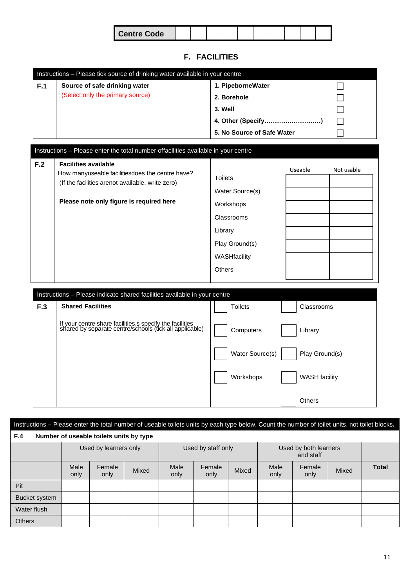# **F. FACILITIES**

|     | Instructions – Please tick source of drinking water available in your centre |                            |  |  |  |  |  |  |  |
|-----|------------------------------------------------------------------------------|----------------------------|--|--|--|--|--|--|--|
| F.1 | Source of safe drinking water                                                | 1. PipeborneWater          |  |  |  |  |  |  |  |
|     | (Select only the primary source)                                             | 2. Borehole                |  |  |  |  |  |  |  |
|     |                                                                              | 3. Well                    |  |  |  |  |  |  |  |
|     |                                                                              | 4. Other (Specify)         |  |  |  |  |  |  |  |
|     |                                                                              | 5. No Source of Safe Water |  |  |  |  |  |  |  |

| Instructions - Please enter the total number offacilities available in your centre                                                                                                     |                                                                                                                            |         |            |  |  |  |  |  |
|----------------------------------------------------------------------------------------------------------------------------------------------------------------------------------------|----------------------------------------------------------------------------------------------------------------------------|---------|------------|--|--|--|--|--|
| <b>Facilities available</b><br>F.2<br>How manyuseable facilities does the centre have?<br>(If the facilities arenot available, write zero)<br>Please note only figure is required here | <b>Toilets</b><br>Water Source(s)<br>Workshops<br>Classrooms<br>Library<br>Play Ground(s)<br>WASHfacility<br><b>Others</b> | Useable | Not usable |  |  |  |  |  |

|     | Instructions – Please indicate shared facilities available in your centre                                            |                 |                      |  |  |  |  |  |  |  |  |
|-----|----------------------------------------------------------------------------------------------------------------------|-----------------|----------------------|--|--|--|--|--|--|--|--|
| F.3 | <b>Shared Facilities</b>                                                                                             | <b>Toilets</b>  | Classrooms           |  |  |  |  |  |  |  |  |
|     | If your centre share facilities, s specify the facilities<br>shared by separate centre/schools (tick all applicable) | Computers       | Library              |  |  |  |  |  |  |  |  |
|     |                                                                                                                      | Water Source(s) | Play Ground(s)       |  |  |  |  |  |  |  |  |
|     |                                                                                                                      | Workshops       | <b>WASH</b> facility |  |  |  |  |  |  |  |  |
|     |                                                                                                                      |                 | Others               |  |  |  |  |  |  |  |  |

| Instructions - Please enter the total number of useable toilets units by each type below. Count the number of toilet units, not toilet blocks. |               |                                         |                |       |                    |                |       |                       |                |       |              |  |
|------------------------------------------------------------------------------------------------------------------------------------------------|---------------|-----------------------------------------|----------------|-------|--------------------|----------------|-------|-----------------------|----------------|-------|--------------|--|
| <b>F.4</b>                                                                                                                                     |               | Number of useable toilets units by type |                |       |                    |                |       |                       |                |       |              |  |
|                                                                                                                                                |               | Used by learners only                   |                |       | Used by staff only |                |       | Used by both learners |                |       |              |  |
|                                                                                                                                                |               | Male<br>only                            | Female<br>only | Mixed | Male<br>only       | Female<br>only | Mixed | Male<br>only          | Female<br>only | Mixed | <b>Total</b> |  |
| Pit                                                                                                                                            |               |                                         |                |       |                    |                |       |                       |                |       |              |  |
|                                                                                                                                                | Bucket system |                                         |                |       |                    |                |       |                       |                |       |              |  |
| Water flush                                                                                                                                    |               |                                         |                |       |                    |                |       |                       |                |       |              |  |
| <b>Others</b>                                                                                                                                  |               |                                         |                |       |                    |                |       |                       |                |       |              |  |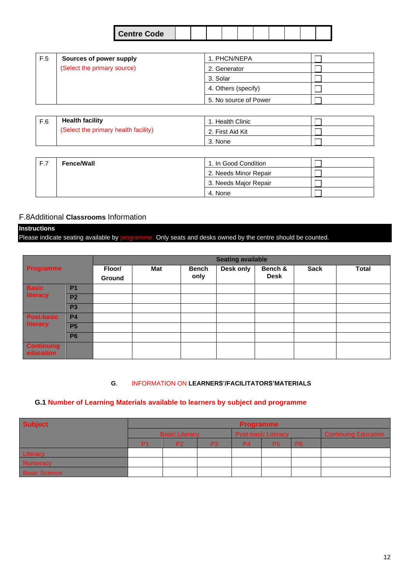| <b>Centre Code</b> |  |  |  |  |  |  |  |  |  |  |
|--------------------|--|--|--|--|--|--|--|--|--|--|
|--------------------|--|--|--|--|--|--|--|--|--|--|

| F.5 | Sources of power supply     | I. PHCN/NEPA          |  |
|-----|-----------------------------|-----------------------|--|
|     | (Select the primary source) | 2. Generator          |  |
|     |                             | 3. Solar              |  |
|     |                             | 4. Others (specify)   |  |
|     |                             | 5. No source of Power |  |

| F.6 | <b>Health facility</b>               | 1. Health Clinic |  |
|-----|--------------------------------------|------------------|--|
|     | (Select the primary health facility) | 2. First Aid Kit |  |
|     |                                      | 3. None          |  |

| F.7 | <b>Fence/Wall</b> | 1. In Good Condition  |  |
|-----|-------------------|-----------------------|--|
|     |                   | 2. Needs Minor Repair |  |
|     |                   | 3. Needs Major Repair |  |
|     |                   | 4. None               |  |

# F.8Additional **Classrooms** Information

# **Instructions**

Please indicate seating available by programme. Only seats and desks owned by the centre should be counted.

|                                |                | <b>Seating available</b> |     |                      |           |                        |      |              |  |  |  |  |
|--------------------------------|----------------|--------------------------|-----|----------------------|-----------|------------------------|------|--------------|--|--|--|--|
| <b>Programme</b>               |                | Floor/<br>Ground         | Mat | <b>Bench</b><br>only | Desk only | Bench &<br><b>Desk</b> | Sack | <b>Total</b> |  |  |  |  |
| <b>Basic</b>                   | <b>P1</b>      |                          |     |                      |           |                        |      |              |  |  |  |  |
| literacy                       | P <sub>2</sub> |                          |     |                      |           |                        |      |              |  |  |  |  |
|                                | <b>P3</b>      |                          |     |                      |           |                        |      |              |  |  |  |  |
| <b>Post-basic</b>              | <b>P4</b>      |                          |     |                      |           |                        |      |              |  |  |  |  |
| literacy                       | <b>P5</b>      |                          |     |                      |           |                        |      |              |  |  |  |  |
|                                | <b>P6</b>      |                          |     |                      |           |                        |      |              |  |  |  |  |
| <b>Continuing</b><br>education |                |                          |     |                      |           |                        |      |              |  |  |  |  |

#### **G**. INFORMATION ON **LEARNERS'/FACILITATORS'MATERIALS**

### **G.1 Number of Learning Materials available to learners by subject and programme**

| <b>Subject</b>       | Programme             |                |    |    |                            |                             |  |  |
|----------------------|-----------------------|----------------|----|----|----------------------------|-----------------------------|--|--|
|                      | <b>Basic Literacy</b> |                |    |    | <b>Post-basic Literacy</b> | <b>Continuing Education</b> |  |  |
|                      | P1                    | P <sub>2</sub> | P3 | P4 | <b>P5</b>                  | P <sub>6</sub>              |  |  |
| Literacy             |                       |                |    |    |                            |                             |  |  |
| Numeracy             |                       |                |    |    |                            |                             |  |  |
| <b>Basic Science</b> |                       |                |    |    |                            |                             |  |  |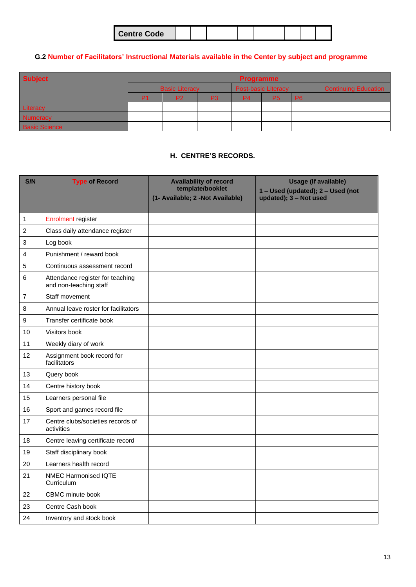| <b>Centre Code</b> |  |  |  |  |  |
|--------------------|--|--|--|--|--|
|                    |  |  |  |  |  |

# **G.2 Number of Facilitators' Instructional Materials available in the Center by subject and programme**

| <b>Subject</b>       | <b>Programme</b>      |                |     |     |                            |                             |  |
|----------------------|-----------------------|----------------|-----|-----|----------------------------|-----------------------------|--|
|                      | <b>Basic Literacy</b> |                |     |     | <b>Post-basic Literacy</b> | <b>Continuing Education</b> |  |
|                      | P <sub>1</sub>        | P <sub>2</sub> | P3. | P4. | <b>P5</b>                  | P <sub>6</sub>              |  |
| Literacy             |                       |                |     |     |                            |                             |  |
| Numeracy             |                       |                |     |     |                            |                             |  |
| <b>Basic Science</b> |                       |                |     |     |                            |                             |  |

### **H. CENTRE'S RECORDS.**

| S/N            | <b>Type of Record</b>                                      | <b>Availability of record</b><br>template/booklet<br>(1- Available; 2 -Not Available) | <b>Usage (If available)</b><br>1 - Used (updated); 2 - Used (not<br>updated); 3 - Not used |
|----------------|------------------------------------------------------------|---------------------------------------------------------------------------------------|--------------------------------------------------------------------------------------------|
| 1              | <b>Enrolment register</b>                                  |                                                                                       |                                                                                            |
| 2              | Class daily attendance register                            |                                                                                       |                                                                                            |
| 3              | Log book                                                   |                                                                                       |                                                                                            |
| 4              | Punishment / reward book                                   |                                                                                       |                                                                                            |
| 5              | Continuous assessment record                               |                                                                                       |                                                                                            |
| 6              | Attendance register for teaching<br>and non-teaching staff |                                                                                       |                                                                                            |
| $\overline{7}$ | Staff movement                                             |                                                                                       |                                                                                            |
| 8              | Annual leave roster for facilitators                       |                                                                                       |                                                                                            |
| 9              | Transfer certificate book                                  |                                                                                       |                                                                                            |
| 10             | Visitors book                                              |                                                                                       |                                                                                            |
| 11             | Weekly diary of work                                       |                                                                                       |                                                                                            |
| 12             | Assignment book record for<br>facilitators                 |                                                                                       |                                                                                            |
| 13             | Query book                                                 |                                                                                       |                                                                                            |
| 14             | Centre history book                                        |                                                                                       |                                                                                            |
| 15             | Learners personal file                                     |                                                                                       |                                                                                            |
| 16             | Sport and games record file                                |                                                                                       |                                                                                            |
| 17             | Centre clubs/societies records of<br>activities            |                                                                                       |                                                                                            |
| 18             | Centre leaving certificate record                          |                                                                                       |                                                                                            |
| 19             | Staff disciplinary book                                    |                                                                                       |                                                                                            |
| 20             | Learners health record                                     |                                                                                       |                                                                                            |
| 21             | <b>NMEC Harmonised IQTE</b><br>Curriculum                  |                                                                                       |                                                                                            |
| 22             | CBMC minute book                                           |                                                                                       |                                                                                            |
| 23             | Centre Cash book                                           |                                                                                       |                                                                                            |
| 24             | Inventory and stock book                                   |                                                                                       |                                                                                            |